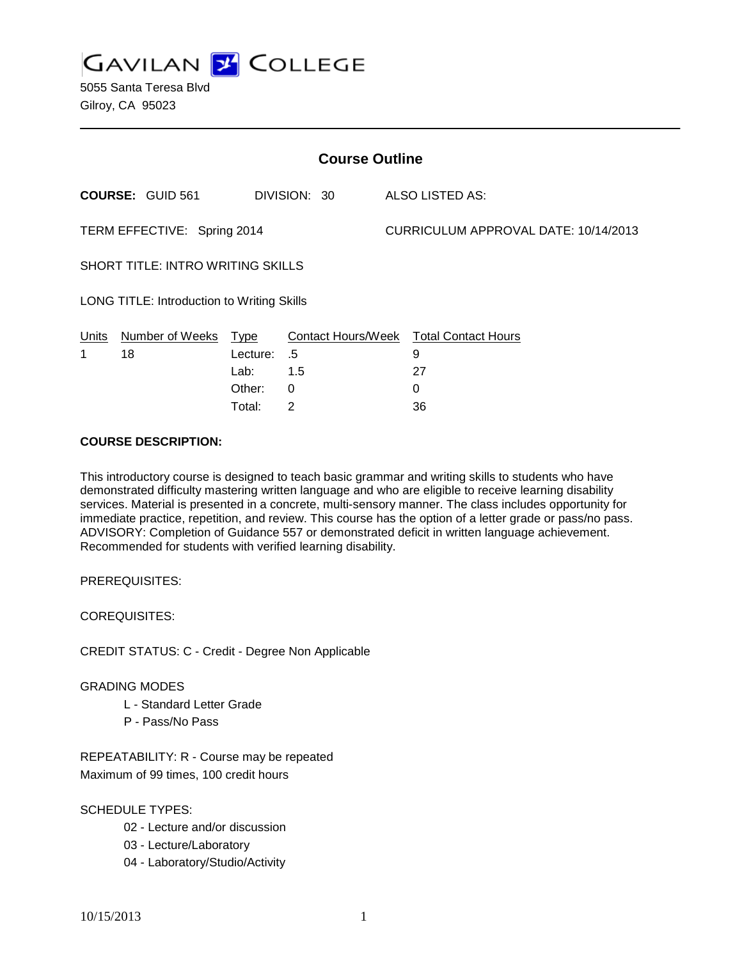**GAVILAN Z COLLEGE** 

5055 Santa Teresa Blvd Gilroy, CA 95023

| <b>Course Outline</b>                      |                         |          |              |  |                                        |  |  |
|--------------------------------------------|-------------------------|----------|--------------|--|----------------------------------------|--|--|
|                                            | <b>COURSE: GUID 561</b> |          | DIVISION: 30 |  | <b>ALSO LISTED AS:</b>                 |  |  |
| TERM EFFECTIVE: Spring 2014                |                         |          |              |  | CURRICULUM APPROVAL DATE: 10/14/2013   |  |  |
| <b>SHORT TITLE: INTRO WRITING SKILLS</b>   |                         |          |              |  |                                        |  |  |
| LONG TITLE: Introduction to Writing Skills |                         |          |              |  |                                        |  |  |
| Units                                      | Number of Weeks Type    |          |              |  | Contact Hours/Week Total Contact Hours |  |  |
| 1                                          | 18                      | Lecture: | - 5          |  | 9                                      |  |  |
|                                            |                         | Lab:     | 1.5          |  | 27                                     |  |  |
|                                            |                         | Other:   | 0            |  | 0                                      |  |  |
|                                            |                         | Total:   | 2            |  | 36                                     |  |  |

### **COURSE DESCRIPTION:**

This introductory course is designed to teach basic grammar and writing skills to students who have demonstrated difficulty mastering written language and who are eligible to receive learning disability services. Material is presented in a concrete, multi-sensory manner. The class includes opportunity for immediate practice, repetition, and review. This course has the option of a letter grade or pass/no pass. ADVISORY: Completion of Guidance 557 or demonstrated deficit in written language achievement. Recommended for students with verified learning disability.

PREREQUISITES:

COREQUISITES:

CREDIT STATUS: C - Credit - Degree Non Applicable

#### GRADING MODES

- L Standard Letter Grade
- P Pass/No Pass

REPEATABILITY: R - Course may be repeated Maximum of 99 times, 100 credit hours

SCHEDULE TYPES:

- 02 Lecture and/or discussion
- 03 Lecture/Laboratory
- 04 Laboratory/Studio/Activity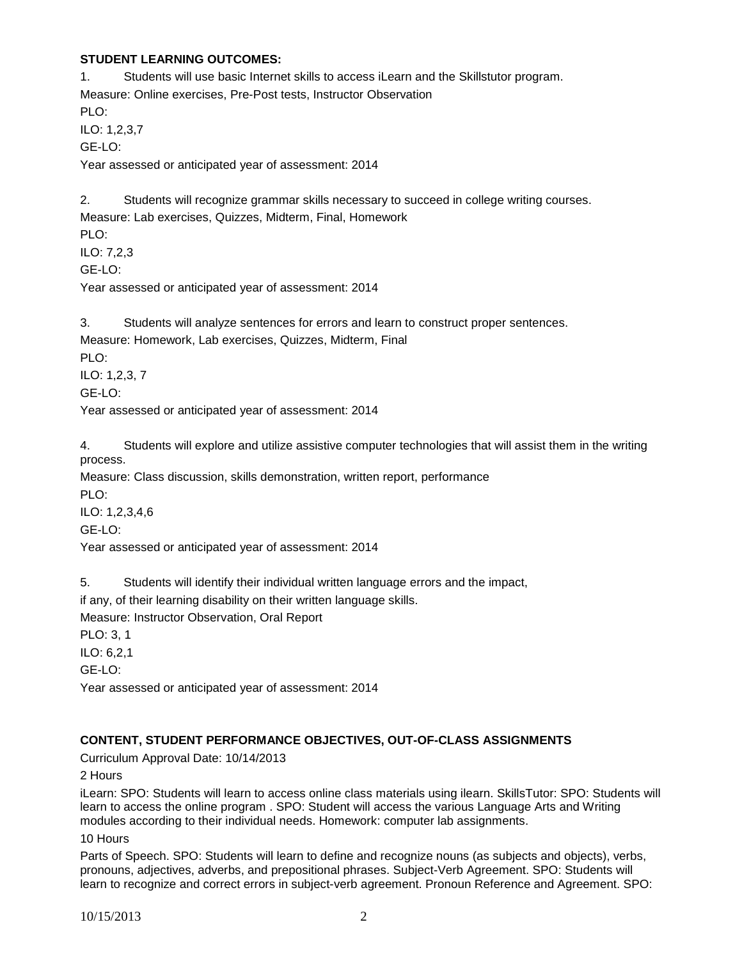## **STUDENT LEARNING OUTCOMES:**

1. Students will use basic Internet skills to access iLearn and the Skillstutor program. Measure: Online exercises, Pre-Post tests, Instructor Observation PLO: ILO: 1,2,3,7 GE-LO: Year assessed or anticipated year of assessment: 2014 2. Students will recognize grammar skills necessary to succeed in college writing courses.

Measure: Lab exercises, Quizzes, Midterm, Final, Homework PLO: ILO: 7,2,3

GE-LO:

Year assessed or anticipated year of assessment: 2014

3. Students will analyze sentences for errors and learn to construct proper sentences. Measure: Homework, Lab exercises, Quizzes, Midterm, Final

PLO: ILO: 1,2,3, 7

GE-LO:

Year assessed or anticipated year of assessment: 2014

4. Students will explore and utilize assistive computer technologies that will assist them in the writing process.

Measure: Class discussion, skills demonstration, written report, performance PLO:

ILO: 1,2,3,4,6 GE-LO:

Year assessed or anticipated year of assessment: 2014

5. Students will identify their individual written language errors and the impact,

if any, of their learning disability on their written language skills.

Measure: Instructor Observation, Oral Report

PLO: 3, 1

ILO: 6,2,1

GE-LO:

Year assessed or anticipated year of assessment: 2014

# **CONTENT, STUDENT PERFORMANCE OBJECTIVES, OUT-OF-CLASS ASSIGNMENTS**

Curriculum Approval Date: 10/14/2013

2 Hours

iLearn: SPO: Students will learn to access online class materials using ilearn. SkillsTutor: SPO: Students will learn to access the online program . SPO: Student will access the various Language Arts and Writing modules according to their individual needs. Homework: computer lab assignments.

10 Hours

Parts of Speech. SPO: Students will learn to define and recognize nouns (as subjects and objects), verbs, pronouns, adjectives, adverbs, and prepositional phrases. Subject-Verb Agreement. SPO: Students will learn to recognize and correct errors in subject-verb agreement. Pronoun Reference and Agreement. SPO: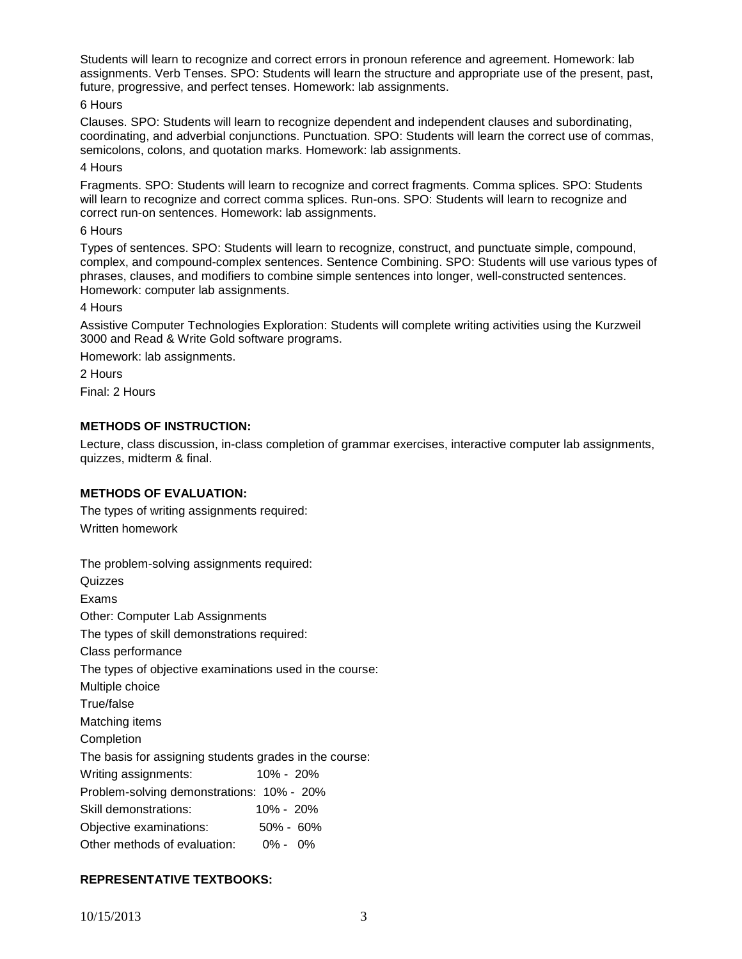Students will learn to recognize and correct errors in pronoun reference and agreement. Homework: lab assignments. Verb Tenses. SPO: Students will learn the structure and appropriate use of the present, past, future, progressive, and perfect tenses. Homework: lab assignments.

### 6 Hours

Clauses. SPO: Students will learn to recognize dependent and independent clauses and subordinating, coordinating, and adverbial conjunctions. Punctuation. SPO: Students will learn the correct use of commas, semicolons, colons, and quotation marks. Homework: lab assignments.

### 4 Hours

Fragments. SPO: Students will learn to recognize and correct fragments. Comma splices. SPO: Students will learn to recognize and correct comma splices. Run-ons. SPO: Students will learn to recognize and correct run-on sentences. Homework: lab assignments.

#### 6 Hours

Types of sentences. SPO: Students will learn to recognize, construct, and punctuate simple, compound, complex, and compound-complex sentences. Sentence Combining. SPO: Students will use various types of phrases, clauses, and modifiers to combine simple sentences into longer, well-constructed sentences. Homework: computer lab assignments.

#### 4 Hours

Assistive Computer Technologies Exploration: Students will complete writing activities using the Kurzweil 3000 and Read & Write Gold software programs.

Homework: lab assignments.

2 Hours

Final: 2 Hours

# **METHODS OF INSTRUCTION:**

Lecture, class discussion, in-class completion of grammar exercises, interactive computer lab assignments, quizzes, midterm & final.

# **METHODS OF EVALUATION:**

The types of writing assignments required: Written homework

| The problem-solving assignments required:               |               |  |  |  |  |
|---------------------------------------------------------|---------------|--|--|--|--|
| Quizzes                                                 |               |  |  |  |  |
| Exams                                                   |               |  |  |  |  |
| Other: Computer Lab Assignments                         |               |  |  |  |  |
| The types of skill demonstrations required:             |               |  |  |  |  |
| Class performance                                       |               |  |  |  |  |
| The types of objective examinations used in the course: |               |  |  |  |  |
| Multiple choice                                         |               |  |  |  |  |
| True/false                                              |               |  |  |  |  |
| Matching items                                          |               |  |  |  |  |
| Completion                                              |               |  |  |  |  |
| The basis for assigning students grades in the course:  |               |  |  |  |  |
| Writing assignments:                                    | $10\% - 20\%$ |  |  |  |  |
| Problem-solving demonstrations: 10% - 20%               |               |  |  |  |  |
| Skill demonstrations:                                   | $10\% - 20\%$ |  |  |  |  |
| Objective examinations:                                 | $50\% - 60\%$ |  |  |  |  |
| Other methods of evaluation: 0% - 0%                    |               |  |  |  |  |

# **REPRESENTATIVE TEXTBOOKS:**

10/15/2013 3